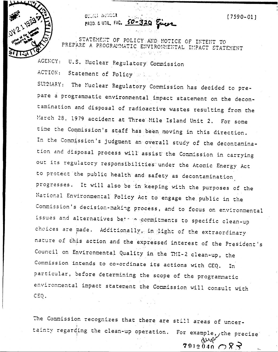



STATEMENT OF POLICY AND NOTICE OF INTENT TO PREPARE A PROGRAMMATIC ENVIRONMENTAL IMPACT STATEMENT

PROD. & UTIL FAC. 50-320 Encer

AGENCY: U.S. Nuclear Regulatory Commission

municipal and model

ACTION: Statement of Policy mediate.

SUMMARY: The Nuclear Regulatory Commission has decided to prepare a programmatic environmental impact statement on the decontamination and disposal of radioactive wastes resulting from the March 28, 1979 accident at Three Mile Island Unit 2. For some time the Commission's staff has been moving in this direction. In the Commission's judgment an overall study of the decontamination and disposal process will assist the Commission in carrying out its regulatory responsibilities under the Atomic Energy Act to protect the public health and safety as decontamination progresses. It will also be in keeping with the purposes of the National Environmental Policy Act to engage the public in the Commission's decision-making process, and to focus on environmental issues and alternatives betone commitments to specific clean-up choices are made. Additionally, in light of the extraordinary nature of this action and the expressed interest of the President's Council on Environmental Quality in the TMI-2 clean-up, the Commission intends to co-ordinate its actions with CEQ. In particular, before determining the scope of the programmatic environmental impact statement the Commission will consult with CEQ.

The Commission recognizes that there are still areas of uncertainty regarding the clean-up operation. For example, the precise

 $7912040 \cap 87$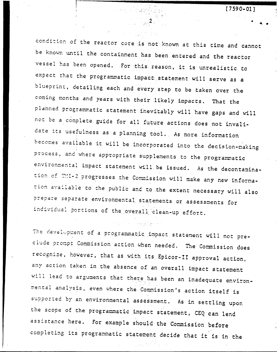$\sim 2\,\mathrm{pc}$ 

condition of the reactor core is not known at this time and cannot be known until the containment has been entered and the reactor vessel has been opened. For this reason, it is unrealistic to expect that the programmatic impact statement will serve as a blueprint, detailing each and every step to be taken over the coming months and years with their likely impacts. That the planned programmatic statement inevitably will have gaps and will not be a complete guide for all future actions does not invalidate its usefulness as a planning tool. As more information becomes available it will be incorporated into the decision-making process, and where appropriate supplements to the programmatic environmental impact statement will be issued. As the decontamination of TMI-2 progresses the Commission will make any new information available to the public and to the extent necessary will also prepare separate environmental statements or assessments for individual portions of the overall clean-up effort.

 $\left\langle \left( \cos \phi \right) \right\rangle \left( \left\langle \mathbf{y} \right\rangle \right) \left( \left\langle \mathbf{y} \right\rangle \right) \left( \left\langle \mathbf{y} \right\rangle \right) \left( \left\langle \mathbf{y} \right\rangle \right) \left( \left\langle \mathbf{y} \right\rangle \right) \left( \left\langle \mathbf{y} \right\rangle \right) \left( \left\langle \mathbf{y} \right\rangle \right) \left( \left\langle \mathbf{y} \right\rangle \right) \left( \left\langle \mathbf{y} \right\rangle \right) \left( \left\langle \mathbf{y} \right\rangle \right) \left$ 

The development of a programmatic impact statement will not preclude prompt Commission action when needed. The Commission does recognize, however, that as with its Epicor-II approval action, any action taken in the absence of an overall impact statement will lead to arguments that there has been an inadequate environmental analysis, even where the Commission's action itself is supported by an environmental assessment. As in settling upon the scope of the programmatic impact statement, CEQ can lend assistance here. For example should the Commission before completing its programmatic statement decide that it is in the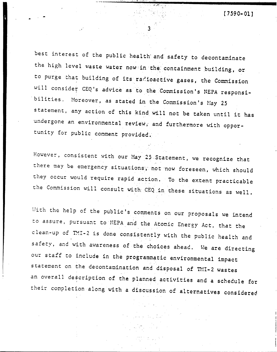best interest of the public health' and safety to decontaminate the high level waste water now in the containment building, or to purge that building of its racioactive gases, the Commission will consider CEQ's advice as to the Commission's NEPA responsi-'bilities. Horeover, as stated in the Commission's Hay 25 statement, any action of this kind will not be taken until it has undergone an environmental review, and furthermore with opportunity for public comment provided.

3

However, consistent with our Hay 25.Statement, we recognize that there may be emergency situations; not now foreseen, which should they Occur would require rapid action. To the extent practicable the Commission will consult with: CEQ in these situations as well.

With the help of the public's comments on our proposals we intend to assure, pursuant to NEPA and the Atomic Energy Act, that the clean-up of TMI-2 is done consistently with the public health and safety, and with awareness of the choices ahead. We are directing our staff to include in the programmatic environmental impact statement on the decontamination and disposal of TMI-2 wastes an overall description of the planned activities and a schedule for their completion along with a discussion of alternatives considered